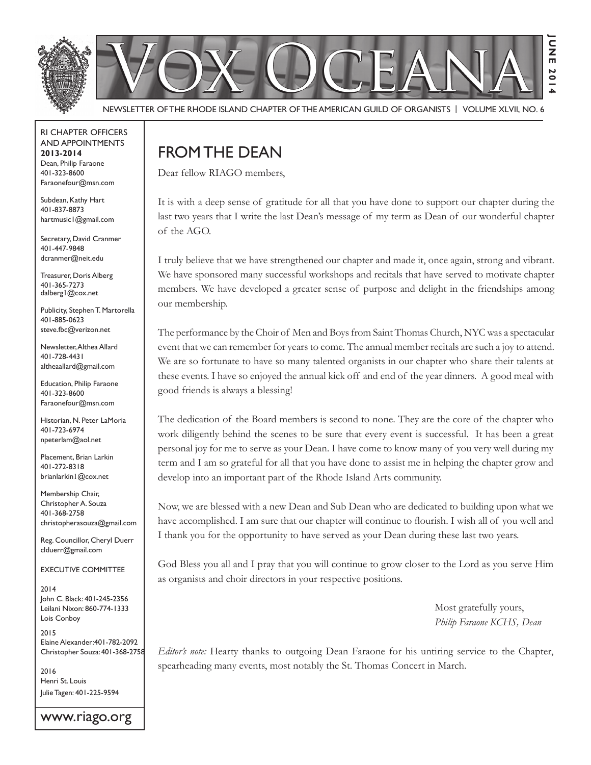

Newsletter of the Rhode Island Chapter of the American Guild of OrganistS | Volume XLVII, No. 6

#### RI Chapter Officers and Appointments **2013-2014** Dean, Philip Faraone 401-323-8600 Faraonefour@msn.com

Subdean, Kathy Hart 401-837-8873 hartmusic1@gmail.com

Secretary, David Cranmer 401-447-9848 dcranmer@neit.edu

Treasurer, Doris Alberg 401-365-7273 dalberg1@cox.net

Publicity, Stephen T. Martorella 401-885-0623 steve.fbc@verizon.net

Newsletter, Althea Allard 401-728-4431 altheaallard@gmail.com

Education, Philip Faraone 401-323-8600 Faraonefour@msn.com

Historian, N. Peter LaMoria 401-723-6974 npeterlam@aol.net

Placement, Brian Larkin 401-272-8318 brianlarkin1@cox.net

Membership Chair, Christopher A. Souza 401-368-2758 christopherasouza@gmail.com

Reg. Councillor, Cheryl Duerr clduerr@gmail.com

Executive Committee

2014 John C. Black: 401-245-2356 Leilani Nixon: 860-774-1333 Lois Conboy

2015 Elaine Alexander:401-782-2092 Christopher Souza: 401-368-2758

2016 Henri St. Louis Julie Tagen: 401-225-9594

www.riago.org

## FROM THE DEAN

Dear fellow RIAGO members,

It is with a deep sense of gratitude for all that you have done to support our chapter during the last two years that I write the last Dean's message of my term as Dean of our wonderful chapter of the AGO.

I truly believe that we have strengthened our chapter and made it, once again, strong and vibrant. We have sponsored many successful workshops and recitals that have served to motivate chapter members. We have developed a greater sense of purpose and delight in the friendships among our membership.

The performance by the Choir of Men and Boys from Saint Thomas Church, NYC was a spectacular event that we can remember for years to come. The annual member recitals are such a joy to attend. We are so fortunate to have so many talented organists in our chapter who share their talents at these events. I have so enjoyed the annual kick off and end of the year dinners. A good meal with good friends is always a blessing!

The dedication of the Board members is second to none. They are the core of the chapter who work diligently behind the scenes to be sure that every event is successful. It has been a great personal joy for me to serve as your Dean. I have come to know many of you very well during my term and I am so grateful for all that you have done to assist me in helping the chapter grow and develop into an important part of the Rhode Island Arts community.

Now, we are blessed with a new Dean and Sub Dean who are dedicated to building upon what we have accomplished. I am sure that our chapter will continue to flourish. I wish all of you well and I thank you for the opportunity to have served as your Dean during these last two years.

God Bless you all and I pray that you will continue to grow closer to the Lord as you serve Him as organists and choir directors in your respective positions.

> Most gratefully yours, *Philip Faraone KCHS, Dean*

*Editor's note:* Hearty thanks to outgoing Dean Faraone for his untiring service to the Chapter, spearheading many events, most notably the St. Thomas Concert in March.